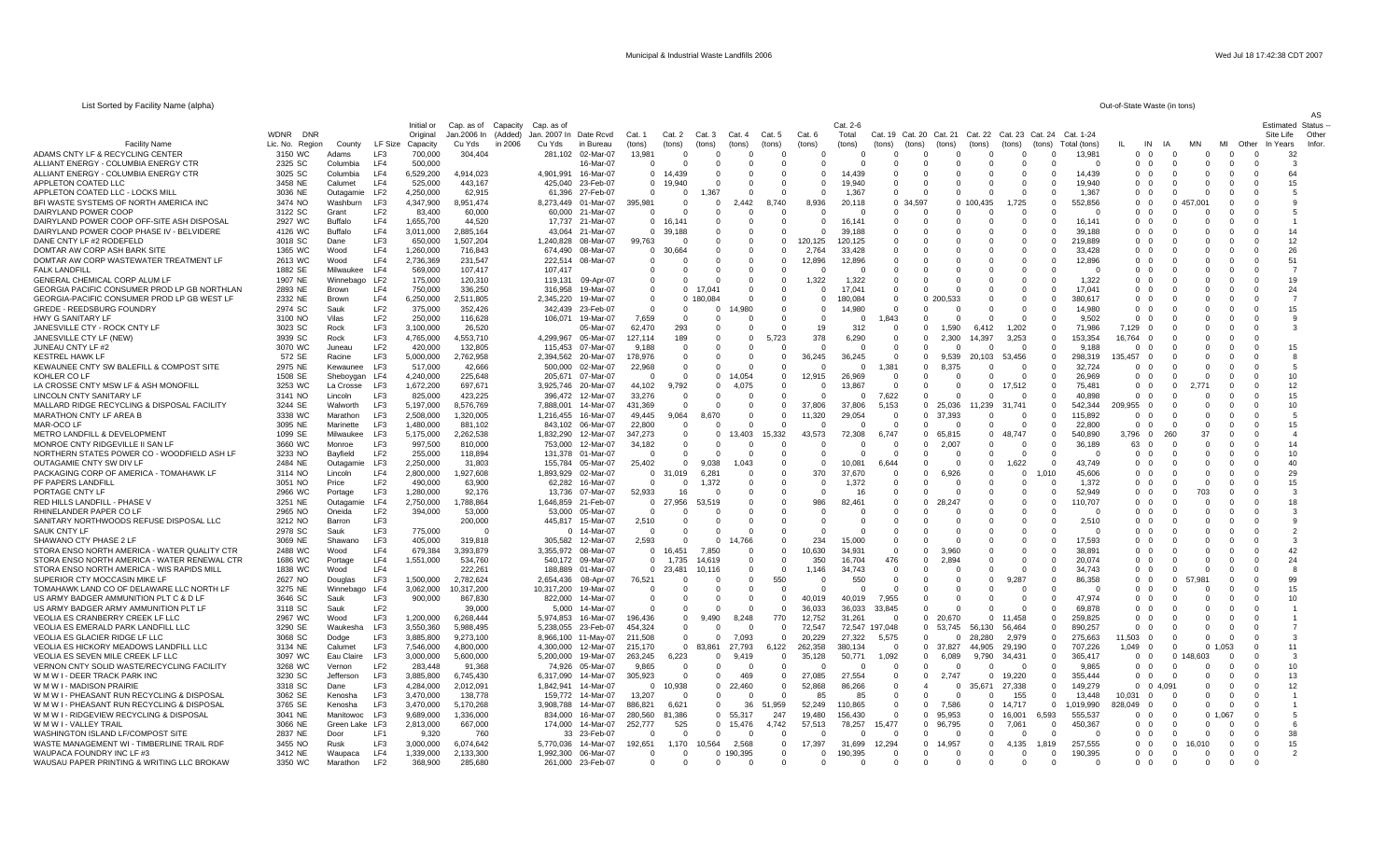| List Sorted by Facility Name (alpha)                                     |                           |                       |                            |                    |                     |                         |            |                          |                    |                      |                         |          |                      |                      |          |                         |                      |               |                      |                   |                        |              | Out-of-State Waste (in tons) |                             |                      |                      |                      |                               |
|--------------------------------------------------------------------------|---------------------------|-----------------------|----------------------------|--------------------|---------------------|-------------------------|------------|--------------------------|--------------------|----------------------|-------------------------|----------|----------------------|----------------------|----------|-------------------------|----------------------|---------------|----------------------|-------------------|------------------------|--------------|------------------------------|-----------------------------|----------------------|----------------------|----------------------|-------------------------------|
|                                                                          |                           |                       |                            | Initial or         | Cap. as of          | Capacity<br>Cap. as of  |            |                          |                    |                      |                         |          |                      |                      | Cat. 2-6 |                         |                      |               |                      |                   |                        |              |                              |                             |                      |                      |                      | AS<br><b>Estimated Status</b> |
|                                                                          | <b>WDNR</b><br><b>DNR</b> |                       |                            | Original           | Jan.2006 In         | (Added)<br>Jan. 2007 In |            | Date Rcvd                | Cat. 1             | Cat. 2               | Cat. 3                  | Cat. 4   | Cat. 5               | Cat. 6               | Total    | Cat. 19 Cat. 20         |                      | Cat. 21       | Cat. 22              | Cat. 23<br>(hons) | Cat. 24                | Cat. 1-24    |                              | IA                          |                      | MI                   | Site Life            | Other                         |
| <b>Facility Name</b>                                                     | Lic. No. Region           | County                | LF Size<br>LF <sub>3</sub> | Capacity           | Cu Yds              | in 2006<br>Cu Yds       |            | in Bureau                | (tons)             | (tons)               | (tons)                  | (tons)   | (tons)               | (tons)<br>$\Omega$   | (tons)   | (tons)<br>$\Omega$      | (tons)               | (tons)        | (tons)<br>$\Omega$   | - 0               | $f$ (tons)<br>$\Omega$ | Total (tons) | IL<br>$\Omega$               | IN<br><u>ິດ</u><br>- 0      | $\Omega$             | Other<br>$\Omega$    | In Years<br>$\Omega$ | Infor.                        |
| ADAMS CNTY LF & RECYCLING CENTER<br>ALLIANT ENERGY - COLUMBIA ENERGY CTR | 3150 WC<br>2325 SC        | Adams                 | LF4                        | 700,000<br>500,000 | 304,404             |                         | 281.102    | 02-Mar-07<br>16-Mar-07   | 13,981<br>$\Omega$ |                      | $\Omega$<br>$\Omega$    |          | $\Omega$<br>-0       | $\Omega$             |          | $\Omega$                |                      |               | $\Omega$             |                   | $\Omega$               | 13,981       | $\Omega$                     | $\Omega$<br>$\Omega$        | $\Omega$             | $^{\circ}$           | $\Omega$             | 32<br>-3                      |
| ALLIANT ENERGY - COLUMBIA ENERGY CTR                                     |                           | Columbia              | LF4                        | 6,529,200          | 4,914,023           |                         | 4,901,991  | 16-Mar-07                | $\mathbf 0$        | 14,439               | $\Omega$                |          | $\Omega$             | $\Omega$             | 14.439   | $\mathbf 0$             | $\Omega$             |               | $\mathbf 0$          | $\Omega$          | $\Omega$               | 14,439       |                              | - 0                         | $\mathbf 0$          | $^{\circ}$           | $\Omega$             | 64                            |
| APPLETON COATED LLC                                                      | 3025 SC<br>3458 NE        | Columbia<br>Calumet   | LF4                        | 525,000            | 443,167             |                         | 425,040    | 23-Feb-07                | $\overline{0}$     | 19,940               | 0                       |          | 0                    | $^{\circ}$           | 19,940   | $\mathbf 0$             | $\Omega$             |               | $\overline{0}$       | $\Omega$          | $\mathbf 0$            | 19,940       | $\mathbf 0$<br>$\mathbf 0$   | $\mathbf 0$<br>0            | $\mathbf 0$          | $\mathbf 0$          | $\mathbf 0$          | 15                            |
| APPLETON COATED LLC - LOCKS MILL                                         | 3036 NE                   |                       | LF <sub>2</sub>            | 4,250,000          | 62,915              |                         | 61.396     | 27-Feb-07                | $\Omega$           | $\Omega$             | .367                    |          | $\Omega$             | $\Omega$             | 1,367    | $\Omega$                |                      |               | $\Omega$             | $\Omega$          | $\sqrt{ }$             | 1.367        | $\Omega$                     | - 0<br>$\Omega$             | $\Omega$             | $\Omega$             | $\Omega$             |                               |
| BFI WASTE SYSTEMS OF NORTH AMERICA INC                                   | 3474 NO                   | Outagamie<br>Washburn | LF3                        | 4,347,900          | 8,951,474           |                         | 8.273.449  | 01-Mar-07                | 395.981            | $\Omega$             | $\Omega$                | 2.442    | 8,740                | 8.936                | 20,118   | $\Omega$                | 34.597               |               | 0 100,435            | 1,725             | $\Omega$               | 552.856      | $\Omega$                     | $\Omega$                    | .001                 | $\Omega$             | $\Omega$             |                               |
| DAIRYLAND POWER COOP                                                     | 3122 SC                   | Grant                 | LF <sub>2</sub>            | 83,400             | 60,000              |                         |            | 60,000 21-Mar-07         | $\Omega$           | - 0                  | $\Omega$                |          | $\Omega$             | - 0                  |          | $\Omega$                | $\Omega$             |               | $\Omega$             | - റ               | - 0                    | - 0          | $\Omega$                     | - 0<br>- 0                  | $\Omega$             | $\Omega$             | $\Omega$             | 5                             |
| DAIRYLAND POWER COOP OFF-SITE ASH DISPOSAL                               | 2927 WC                   | Buffalo               | LF4                        | 1,655,700          | 44,520              |                         | 17,737     | 21-Mar-07                | $\mathbf 0$        | 16,141               | $\Omega$                |          | $\Omega$             | $\Omega$             | 16,141   | $\mathbf 0$             | $\Omega$             |               | 0                    | $\Omega$          | $\Omega$               | 16,141       | $^{\circ}$                   | $\Omega$<br>0               | $\mathbf 0$          | $\Omega$             | -0                   |                               |
| DAIRYLAND POWER COOP PHASE IV - BELVIDERE                                | 4126 WC                   | Buffalo               | LF4                        | 3,011,000          | 2,885,164           |                         |            | 43,064 21-Mar-07         | $\Omega$           | 39,188               | $\Omega$                | $\Omega$ | $\Omega$             | $\Omega$             | 39,188   | $\Omega$                | $\Omega$             |               | $\Omega$             | $\Omega$          | $\sqrt{ }$             | 39,188       | $\Omega$                     | $\Omega$<br>$\Omega$        | $\Omega$             | $\Omega$             | $\Omega$             | 14                            |
| DANE CNTY LF #2 RODEFELD                                                 | 3018 SC                   | Dane                  | LF <sub>3</sub>            | 650,000            | 1,507,204           |                         | 1,240,828  | 08-Mar-07                | 99,763             |                      | $\Omega$                |          | $\Omega$             | 120,125              | 120,125  | $\Omega$                |                      |               | $\Omega$             | $\sqrt{2}$        | $\Omega$               | 219.889      | $\Omega$                     | $\sqrt{ }$<br>∩             | $\Omega$             | $\Omega$             | $\Omega$             | 12                            |
| DOMTAR AW CORP ASH BARK SITE                                             | 1365 WC                   | Wood                  | LF4                        | 1,260,000          | 716,843             |                         | 674,490    | 08-Mar-07                | $\Omega$           | 30,664               | 0                       | $\Omega$ | $\Omega$             | 2.764                | 33.428   | $\Omega$                |                      |               | $\Omega$             |                   | $\Omega$               | 33.428       | $\Omega$                     | $\Omega$                    |                      | $\Omega$             | $\Omega$             | 26                            |
| DOMTAR AW CORP WASTEWATER TREATMENT LF                                   | 2613 WC                   | Wood                  | LF4                        | 2,736,369          | 231,547             |                         | 222,514    | 08-Mar-07                | 0                  |                      | $\Omega$                | $\Omega$ | $^{\circ}$           | 12,896               | 12,896   | $\Omega$                | $\Omega$             |               | $\Omega$             | $\Omega$          | $\Omega$               | 12,896       | $^{\circ}$                   | $\Omega$<br>$\Omega$        | $\Omega$             | $\Omega$             | $\Omega$             | 51                            |
| <b>FALK LANDFILL</b>                                                     | 1882 SE                   | Milwaukee             | LF4                        | 569,000            | 107,417             |                         | 107,417    |                          | 0                  | $\Omega$             | 0                       |          | 0                    | 0                    |          | 0                       | U                    |               | 0                    | $\Omega$          | $\sqrt{ }$             |              | $\mathbf{0}$                 | $\Omega$<br>0               | $^{\circ}$           | $\mathbf 0$          | -0                   |                               |
| GENERAL CHEMICAL CORP ALUM LF                                            | 1907 NE                   | Winnebago             | LF <sub>2</sub>            | 175,000            | 120,310             |                         | 119,131    | 09-Apr-07                | $\Omega$           | $\Omega$             | $\Omega$                |          | $\Omega$             | 1,322                | 1,322    | $\Omega$                | $\Omega$             |               | $\Omega$             | $\Omega$          | - C                    | 1,322        | $\Omega$                     | - 0                         | $\Omega$             | $\Omega$             | $\Omega$             | 19                            |
| <b>GEORGIA PACIFIC CONSUMER PROD LP GB NORTHLAN</b>                      | 2893 NE                   | Brown                 | LF4                        | 750,000            | 336,250             |                         | 316,958    | 19-Mar-07                | $\Omega$           | $\Omega$             | $17.04^{\circ}$         |          | $\Omega$             | $\Omega$             | 17,041   | $\Omega$                |                      |               | $\Omega$             |                   |                        | 17.041       | $\Omega$                     | $\Omega$                    | $\Omega$             | $\Omega$             | $\Omega$             | 24                            |
| GEORGIA-PACIFIC CONSUMER PROD LP GB WEST LF                              | 2332 NE                   | Brown                 | LF4                        | 6,250,000          | 2,511,805           |                         | 2,345,220  | 19-Mar-07                | $\Omega$           | $\Omega$             | 180,084                 |          | $\Omega$             | $\Omega$             | 180.084  | $\Omega$                |                      | 0, 20<br>.533 | $\Omega$             | $\Omega$          | $\Omega$               | 380.617      | $\Omega$                     | $\Omega$<br>- 0             | $\Omega$             | $\Omega$             | $\Omega$             | $\overline{7}$                |
| <b>GREDE - REEDSBURG FOUNDRY</b>                                         | 2974 SC                   | Sauk                  | LF <sub>2</sub>            | 375,000            | 352,426             |                         | 342,439    | 23-Feb-07                | $\mathbf{0}$       | $\Omega$             | $^{\circ}$              | ,980     |                      | $\Omega$             | 14,980   | $\mathbf 0$             | $\Omega$             |               | 0                    | $\Omega$          |                        | 14,980       | $\mathbf{0}$                 | $\Omega$<br>0               | $\mathbf 0$          | $\Omega$             | -0                   | 15                            |
| <b>HWY G SANITARY LF</b>                                                 | 3100 NO                   | Vilas                 | LF <sub>2</sub>            | 250,000            | 116,628             |                         | 106.071    | 19-Mar-07                | 7.659              | $\Omega$             | $\Omega$                |          | $\Omega$             | $\Omega$             | $\Omega$ | 1.843                   | U                    |               | $\Omega$             | $\Omega$          | $\sqrt{ }$             | 9.502        | $\Omega$                     | $\Omega$<br>$\Omega$        | $\Omega$             | $\Omega$             | $\Omega$             | $\mathbf{q}$                  |
| JANESVILLE CTY - ROCK CNTY LF                                            | 3023 SC                   | Rock                  | LF3                        | 3,100,000          | 26,520              |                         |            | 05-Mar-07                | 62,470             | 293                  | $\Omega$                |          | $\cap$               | 19                   | 312      | $\Omega$                | $\Omega$             | 1.590         | 6,412                | 1,202             | $\Omega$               | 71,986       | 7,129                        | ∩                           | $\Omega$             | $\Omega$             | $\Omega$             | -3                            |
| JANESVILLE CTY LF (NEW)                                                  | 3939 SC                   | Rock                  | LF3                        | 4,765,000          | 4,553,710           |                         | 4,299,967  | 05-Mar-07                | 127.114            | 189                  | $\Omega$                | $\Omega$ | 5,723                | 378                  | 6,290    | $\Omega$                | $\Omega$             | 2.300         | 14,397               | 3,253             | $\Omega$               | 153.354      | 6.764                        | $\Omega$                    |                      | $\Omega$             | $\Omega$             |                               |
| JUNEAU CNTY LF #2                                                        | 3070 WC                   | Juneau                | LF <sub>2</sub>            | 420,000            | 132,805             |                         | 115,453    | 07-Mar-07                | 9,188              | $\Omega$             | $\mathbf 0$             | - 0      | $\Omega$             | $\Omega$             | - 0      | $\overline{\mathbf{0}}$ | $\Omega$             |               | $\Omega$             | - 0               | $\Omega$               | 9,188        | $\mathbf{0}$                 | $\Omega$<br>$\Omega$        | $\Omega$             | $\Omega$             | $\Omega$             | 15                            |
| <b>KESTREL HAWK LF</b>                                                   | 572 SE                    | Racine                | LF3                        | 5,000,000          | 2,762,958           |                         | 2,394,562  | 20-Mar-07                | 78,976             | $\Omega$             | $\Omega$                | $\Omega$ | $\mathbf{0}$         | 36,245               | 36,245   | $\mathbf 0$             | $\Omega$             | 9,539         | 20,103               | 53,456            | $\Omega$               | 298 319      | 35,457                       | $\Omega$                    | $\Omega$             | $\Omega$             | $\Omega$             |                               |
| KEWAUNEE CNTY SW BALEFILL & COMPOST SITE                                 | 2975 NE                   | Kewaunee              | LF3                        | 517,000            | 42,666              |                         | 500,000    | 02-Mar-07                | 22,968             | $\Omega$             | $\Omega$                |          | $\Omega$             | - 0                  |          | 1,381                   | $\Omega$             | 8,375         | $\Omega$             | - 0               | $\Omega$               | 32,724       | $\Omega$                     | $\Omega$                    | $\Omega$             | $\Omega$             | $\Omega$             |                               |
| KOHLER CO LF                                                             | 1508 SE                   | Sheboygan             | LF4                        | 4,240,000          | 225,648             |                         | 205,671    | 07-Mar-07                | $\Omega$           | $\Omega$             | $\Omega$                | 4.054    | $\Omega$             | 12.915               | 26.969   | $\Omega$                |                      |               | $\Omega$             |                   | $\Omega$               | 26.969       | $\Omega$                     | $\Omega$                    | $\Omega$             | $\Omega$             | $\Omega$             | 10                            |
| LA CROSSE CNTY MSW LF & ASH MONOFILI                                     | 3253 WC                   | La Crosse             | LF3                        | 1,672,200          | 697,671             |                         |            | 3,925,746 20-Mar-07      | 44,102             | 9,792                | $\Omega$                | 4,075    | $\Omega$             | $\Omega$             | 13,867   | $\Omega$                | 0                    |               | $\mathbf 0$          | 17.512            | $\Omega$               | 75.481       | $^{\circ}$                   | $\Omega$<br>$\Omega$        |                      | $\Omega$             | $\Omega$             | 12                            |
| LINCOLN CNTY SANITARY LF                                                 | 3141 NO                   | Lincoln               | LF3                        | 825,000            | 423,225             |                         | 396,472    | 12-Mar-07                | 33,276             | $\Omega$             | 0                       |          | 0                    | $^{\circ}$           |          | .622                    | 0                    |               | $\mathbf 0$          | - 0               | $\Omega$               | 40,898       | $\Omega$                     | $\mathbf{0}$<br>0           | $\mathbf 0$          | $\mathbf 0$          | -0                   | 15                            |
| MALLARD RIDGE RECYCLING & DISPOSAL FACILITY                              | 3244 SE                   | Walworth              | LF3                        | 5.197.000          | 8.576.769           |                         | 7.888.001  | 14-Mar-07                | 431.369            | $\Omega$             | $\Omega$                |          | $\Omega$             | 37,806               | 37,806   | 5.153                   | $\Omega$             | 25.036        | 11,239               | 31.741            | $\Omega$               | 542.344      | 209.955                      | $\Omega$<br>$\Omega$        | $\Omega$             | $\Omega$             | $\Omega$             | 10                            |
| MARATHON CNTY LF AREA B                                                  | 3338 WC                   | Marathon              | LF3                        | 2,508,000          | 1,320,005           |                         | 1,216,455  | 16-Mar-07                | 49.445             | 9,064                |                         |          | $\Omega$             | 11,320               | 29,054   | $\Omega$                | $\Omega$             | 37,393        | $\Omega$             | $\cap$            | $\Omega$               | 115,892      | $\Omega$                     | - 0<br>$\Omega$             | $\Omega$             | $\Omega$             | $\Omega$             | -5                            |
| MAR-OCO LF                                                               | 3095 NE                   | Marinette             | LF <sub>3</sub>            | 1,480,000          | 881,102             |                         |            | 843,102 06-Mar-07        | 22,800             | $\Omega$             | $\Omega$                |          | $\Omega$             | $\Omega$             |          | $\Omega$                | $\Omega$             |               | $\Omega$             | $\Omega$          | $\Omega$               | 22,800       | $\Omega$                     | $\Omega$<br>$\Omega$        |                      | $\Omega$             | $\Omega$             | 15                            |
| METRO LANDFILL & DEVELOPMENT                                             | 1099 SE                   | Milwaukee             | LF3                        | 5,175,000          | 2,262,538           |                         | 1,832,290  | 12-Mar-07                | 347,273            | $\mathbf 0$          | $^{\circ}$              | 3,403    | 15,332               | 43,573               | 72,308   | 6,747                   | $^{\circ}$           | 65,815        | $^{\circ}$           | 48,747            | $^{\circ}$             | 540,890      | 3,796                        | $\overline{0}$<br>260       | 37                   | $\Omega$             | $\Omega$             | $\boldsymbol{\Lambda}$        |
| MONROE CNTY RIDGEVILLE II SAN LF                                         | 3660 WC                   | Monroe                | LF3                        | 997.500            | 810,000             |                         | 753.000    | 12-Mar-07                | 34.182             | $\Omega$             | $\Omega$                |          | $\Omega$             | $\Omega$             |          | $\Omega$                | $\Omega$             | 2.007         | $\Omega$             |                   | $\Omega$               | 36.189       | 63                           | $\Omega$<br>$\Omega$        | $\Omega$             | $\Omega$             | $\Omega$             | 14                            |
| NORTHERN STATES POWER CO - WOODFIELD ASH LF                              | 3233 NO                   | Bayfield              | LF <sub>2</sub>            | 255,000            | 118,894             |                         | 131,378    | 01-Mar-07                | $\Omega$           | $\Omega$             | n                       |          | $\Omega$             | $\Omega$             |          | - 0                     | $\Omega$             |               | $\Omega$             | $\Omega$          | $\sqrt{ }$             |              | $\Omega$                     | - 0                         | $\Omega$             | $\Omega$             | - 0                  | 10                            |
| <b>OUTAGAMIE CNTY SW DIV LF</b>                                          | 2484 NE                   | Outagamie             | LF3                        | 2,250,000          | 31.803              |                         | 155,784    | 05-Mar-07                | 25,402             | $\Omega$             | 9.038                   | .043     | $\Omega$             | $\Omega$             | 10,081   | 6.644                   |                      |               | $\Omega$             | 1.622             | -0                     | 43.749       | $\Omega$                     | - 0                         | $\Omega$             | $\Omega$             | $\Omega$             | 40                            |
| PACKAGING CORP OF AMERICA - TOMAHAWK LF                                  | 3114 NO                   | Lincoln               | LF4                        | 2,800,000          | 1,927,608           |                         | 1,893,929  | 02-Mar-07                | $\mathbf 0$        | 31,019               | 6,28'                   |          | $\Omega$             | 370                  | 37,670   | $\Omega$                | $\Omega$             | 6,926         | $\Omega$             | $\Omega$          | 1.010                  | 45,606       | $^{\circ}$                   | - 0<br>0                    | $\Omega$             | $\Omega$             | $\Omega$             | 29                            |
| PF PAPERS LANDFILL                                                       | 3051 NO                   | Price                 | LF <sub>2</sub>            | 490,000            | 63,900              |                         | 62,282     | 16-Mar-07                | $\mathbf 0$        |                      |                         |          | 0                    | 0                    | 1,372    | $^{\circ}$              | ŋ                    |               | 0                    | $\Omega$          |                        | 1,372        | $\mathbf{0}$                 | $\mathbf{0}$<br>0           | $\mathbf 0$          | $\mathbf 0$          | -0                   | 15                            |
| PORTAGE CNTY LF                                                          | 2966 WC                   | Portage               | LF3                        | 1.280.000          | 92.176              |                         | 13.736     | 07-Mar-07                | 52,933             | 16                   |                         |          | $\Omega$             | $\Omega$             | 16       | $\Omega$                |                      |               | $\Omega$             | $\Omega$          | $\sqrt{ }$             | 52.949       | $\Omega$                     | $\Omega$<br>$\Omega$        | 703                  | $\Omega$             | $\Omega$             | 3                             |
| RED HILLS LANDFILL - PHASE \                                             | 3251 NE                   | Outagamie             | LF4                        | 2,750,000          | 1,788,864           |                         | 1,646,859  | 21-Feb-07                | $\mathbf 0$        | 27,956               | 53.519                  |          | $\Omega$             | 986                  | 82,461   | $\Omega$                | $\Omega$             | 3,247         |                      |                   |                        | 110,707      | $\Omega$                     | -C                          | $\Omega$             | $\Omega$             | $\Omega$             | 18                            |
| RHINELANDER PAPER CO LF                                                  | 2965 NO                   | Oneida                | LF <sub>2</sub>            | 394,000            | 53,000              |                         |            | 53,000 05-Mar-07         | $\Omega$           |                      | $\Omega$                |          | $\Omega$             | $\Omega$             |          | $\Omega$                |                      |               | $\Omega$             |                   |                        |              | $\Omega$                     | $\Omega$<br>$\Omega$        | $\Omega$             | $\Omega$             | $\Omega$             |                               |
| SANITARY NORTHWOODS REFUSE DISPOSAL LLC<br><b>SAUK CNTY LF</b>           | 3212 NO                   | Barron                | LF3<br>LF3                 | 775,000            | 200,000<br>$\Omega$ |                         | 445,817    | 15-Mar-07                | 2,510<br>$\Omega$  | $\Omega$<br>$\Omega$ | $\mathbf 0$<br>$\Omega$ | $\Omega$ | $\Omega$<br>$\Omega$ | $\Omega$<br>$\Omega$ | $\Omega$ | $\Omega$<br>$\Omega$    | $\Omega$<br>$\Omega$ |               | $\Omega$<br>$\Omega$ | $\Omega$          | - 0<br>$\sqrt{ }$      | 2,510        | $^{\circ}$<br>$\Omega$       | $\Omega$<br>- 0<br>$\Omega$ | $\Omega$<br>$\Omega$ | $\Omega$<br>$\Omega$ | $\Omega$<br>$\Omega$ |                               |
| SHAWANO CTY PHASE 2 LF                                                   | 2978 SC<br>3069 NE        | Sauk<br>Shawano       | LF3                        | 405,000            | 319,818             |                         | 305,582    | 0 14-Mar-07<br>12-Mar-07 | 2,593              | $\Omega$             | $\Omega$                | 4,766    | $\Omega$             | 234                  | 15,000   | $\Omega$                | $\Omega$             |               | $\Omega$             | $\Omega$          | $\sqrt{ }$             | 17,593       | $\Omega$                     | - 0                         | $\Omega$             | $\Omega$             | - 0                  |                               |
| STORA ENSO NORTH AMERICA - WATER QUALITY CTR                             | 2488 WC                   | Wood                  | LF4                        | 679,384            | 3,393,879           |                         | 3,355,972  | 08-Mar-07                | $\Omega$           | 16,451               | 7.850                   |          | $\Omega$             | 10,630               | 34,931   | $\Omega$                | $\Omega$             | 3.960         | $\Omega$             | $\Omega$          | -0                     | 38.891       | $\Omega$                     | $\Omega$                    | $\Omega$             | $\Omega$             | $\Omega$             | 42                            |
| STORA ENSO NORTH AMERICA - WATER RENEWAL CTR                             | 1686 WC                   | Portage               | LF4                        | 1,551,000          | 534,760             |                         | 540,172    | 09-Mar-07                | $\mathbf{0}$       | 1,735                | 14.619                  | $\Omega$ | $\Omega$             | 350                  | 16,704   | 476                     | $\Omega$             | 2,894         | $\Omega$             | - 0               |                        | 20.074       | $\Omega$                     | - 0<br>0                    | $\mathbf 0$          | $\Omega$             | $\Omega$             | 24                            |
| STORA ENSO NORTH AMERICA - WIS RAPIDS MILL                               | 1838 WC                   | Wood                  | LF4                        |                    | 222,261             |                         | 188.889    | 01-Mar-07                | $\Omega$           | 23,481               | 10.116                  |          | $\Omega$             | 1.146                | 34,743   | $\Omega$                |                      |               | $\Omega$             | $\Omega$          | $\Omega$               | 34,743       | $\Omega$                     | $\Omega$<br>$\Omega$        | $\Omega$             | $\Omega$             | $\Omega$             |                               |
| SUPERIOR CTY MOCCASIN MIKE LF                                            | 2627 NO                   | Douglas               | LF3                        | 1,500,000          | 2.782.624           |                         | 2.654.436  | 08-Apr-07                | 76,521             |                      | $\Omega$                | $\Omega$ | 550                  | $\Omega$             | 550      | $\Omega$                | ŋ                    |               | $\Omega$             | 287               |                        | 86.358       | $\Omega$                     | - 0<br>- 0                  |                      | $\Omega$             | $\Omega$             | 99                            |
| TOMAHAWK LAND CO OF DELAWARE LLC NORTH LF                                | 3275 NE                   | Winnebago             | LF4                        | 3,062,000          | 10,317,200          |                         | 10,317,200 | 19-Mar-07                | $\Omega$           |                      | 0                       |          | $\Omega$             | $\Omega$             |          | $\Omega$                |                      |               | $\Omega$             |                   |                        |              | $\Omega$                     | - 0                         |                      | $\Omega$             | - 0                  | 15                            |
| US ARMY BADGER AMMUNITION PLT C & D LF                                   | 3646 SC                   | Sauk                  | LF <sub>3</sub>            | 900,000            | 867,830             |                         | 822,000    | 14-Mar-07                | $\Omega$           | - 0                  | $\Omega$                | $\Omega$ | $\Omega$             | 40.019               | 40,019   | 7,955                   | ŋ                    |               | $\Omega$             | $\Omega$          | $\Omega$               | 47.974       | $\Omega$                     | $\Omega$<br>0               | $\Omega$             | $\Omega$             | $\Omega$             | 10                            |
| US ARMY BADGER ARMY AMMUNITION PLT LF                                    | 3118 SC                   | Sauk                  | LF <sub>2</sub>            |                    | 39,000              |                         | 5,000      | 14-Mar-07                | $\Omega$           | $\Omega$             | $\Omega$                |          | $\mathbf{0}$         | 36,033               | 36,033   | 33,845                  | ŋ                    |               | 0                    | $\cap$            | $\Omega$               | 69,878       | $^{\circ}$                   | $\Omega$<br>$\Omega$        | $\Omega$             | $\Omega$             | $\Omega$             |                               |
| VEOLIA ES CRANBERRY CREEK LF LLC                                         | 2967 WC                   | Wood                  | LF3                        | 1.200.000          | 6.268.444           |                         | 5.974.853  | 16-Mar-07                | 196.436            | $\Omega$             | 9.490                   | 8.248    | 770                  | 12.752               | 31.261   | $\Omega$                | $\Omega$             | 20.670        | $\Omega$             | 11.458            | $\Omega$               | 259.825      | $\Omega$                     | $\Omega$                    | $\Omega$             | $\Omega$             | $\Omega$             |                               |
| VEOLIA ES EMERALD PARK LANDFILL LLC                                      | 3290 SE                   | Waukesha              | LF3                        | 3,550,360          | 5,988,495           |                         | 5,238,055  | 23-Feb-07                | 454,324            | $\Omega$             | - 0                     |          | $\Omega$             | 72,547               | 72,547   | 197,048                 | $\Omega$             | 53.745        | 56,130               | 56,464            | $\Omega$               | 890,257      | $\Omega$                     | $\Omega$<br>- 0             | $\Omega$             | $\Omega$             | - 0                  |                               |
| VEOLIA ES GLACIER RIDGE LF LLC                                           | 3068 SC                   | Dodge                 | LF3                        | 3,885,800          | 9,273,100           |                         |            | 8,966,100 11-May-07      | 211,508            | $\Omega$             | $\Omega$                | 7,093    | $\Omega$             | 20,229               | 27,322   | 5,575                   |                      |               | 28,280               | 2.979             | $\Omega$               | 275,663      | 11,503                       | $\Omega$                    | $\Omega$             | $\Omega$             | $\Omega$             | 3                             |
| VEOLIA ES HICKORY MEADOWS LANDFILL LLC                                   | 3134 NE                   | Calumet               | LF3                        | 7,546,000          | 4,800,000           |                         | 4,300,000  | 12-Mar-07                | 215,170            | $\Omega$             | 83,861                  | 27,793   | 6,122                | 262.358              | 380,134  | $^{\circ}$              | $\mathbf 0$          | 37,827        | 44,905               | 29,190            | $\Omega$               | 707.226      | 1.049                        | $\mathbf 0$<br>- 0          | $\Omega$             | 1,053                | - 0                  | 11                            |
| VEOLIA ES SEVEN MILE CREEK LF LLC                                        | 3097 WC                   | Eau Claire            | LF3                        | 3.000.000          | 5.600.000           |                         | 5.200.000  | 19-Mar-07                | 263.245            | 6.223                | $\Omega$                | 9.419    | $\Omega$             | 35,128               | 50,771   | 1,092                   | $\Omega$             | 6.089         | 9.790                | 34.431            | $\Omega$               | 365.417      | $\overline{0}$               | $^{\circ}$<br>$\Omega$      | 503                  | $\Omega$             | $\Omega$             | -3                            |
| VERNON CNTY SOLID WASTE/RECYCLING FACILITY                               | 3268 WC                   | Vernon                | LF <sub>2</sub>            | 283,448            | 91,368              |                         | 74,926     | 05-Mar-07                | 9.865              | $\Omega$             | $\Omega$                |          | $\Omega$             | $\Omega$             | - 0      | $\Omega$                | $\Omega$             |               | $\Omega$             | $\Omega$          | $\sqrt{ }$             | 9.865        | $\Omega$                     | $\Omega$<br>- 0             | $\Omega$             | $\Omega$             | $\Omega$             | 10                            |
| W M W I - DEER TRACK PARK INC                                            | 3230 SC                   | Jefferson             | LF3                        | 3,885,800          | 6,745,430           |                         | 6,317,090  | 14-Mar-07                | 305,923            | $\Omega$             | 0                       | 469      | $\Omega$             | 27,085               | 27,554   | 0                       | $\Omega$             | 2,747         | 0                    | 19,220            | $\Omega$               | 355,444      | $\Omega$                     | - 0<br>0                    | $\Omega$             | $\mathbf 0$          | - 0                  | 13                            |
| W M W I - MADISON PRAIRIE                                                | 3318 SC                   | Dane                  | LF3                        | 4,284,000          | 2,012,091           |                         | 1,842,941  | 14-Mar-07                | $\Omega$           | 10,938               | $\Omega$                | 22,460   | $\Omega$             | 52,868               | 86,266   | $\Omega$                |                      | റ             | 35.671               | 27,338            | $\Omega$               | 149,279      | $\Omega$                     | 04,091                      | $\Omega$             | $\Omega$             | - 0                  | 12                            |
| W M W I - PHEASANT RUN RECYCLING & DISPOSAL                              | 3062 SE                   | Kenosha               | LF3                        | 3,470,000          | 138,778             |                         | 159,772    | 14-Mar-07                | 13,207             |                      | $\Omega$                |          | $\Omega$             | 85                   | 85       | $\Omega$                | $\Omega$             |               | $\Omega$             | 155               | $\Omega$               | 13,448       | 10,031                       | $\Omega$<br>- 0             | $\Omega$             | $\Omega$             | $\Omega$             |                               |
| W M W I - PHEASANT RUN RECYCLING & DISPOSAL                              | 3765 SE                   | Kenosha               | LE3                        | 3.470.000          | 5.170.268           |                         | 3.908.788  | 14-Mar-07                | 886.821            | 6.621                | $\Omega$                | 36       | 51.959               | 52.249               | 110.865  | $\Omega$                | $\Omega$             | 7.586         | $\Omega$             | 14 717            | $\Omega$               | 1.019.990    | 828.049                      | - 0                         | $\Omega$             | $\Omega$             | $\Omega$             |                               |
| W M W I - RIDGEVIEW RECYCLING & DISPOSAL                                 | 3041 NE                   | Manitowoc             | LF3                        | 9,689,000          | 1,336,000           |                         | 834,000    | 16-Mar-07                | 280,560            | 81,386               | $\Omega$                | 55,317   | 247                  | 19,480               | 156,430  | $\Omega$                | $\Omega$             | 95,953        | $\Omega$             | 16,001            | 6,593                  | 555,537      | $\Omega$                     | $\Omega$<br>- 0             | $\Omega$             | 1.067                | - 0                  |                               |
| W M W I - VALLEY TRAIL                                                   | 3066 NE                   | Green Lake            | LF3                        | 2,813,000          | 667,000             |                         | 174,000    | 14-Mar-07                | 252,777            | 525                  | $\Omega$                | 15,476   | 4,742                | 57,513               | 78,257   | 15.477                  | $\Omega$             | 96,795        | $\Omega$             | 7,061             | $\Omega$               | 450,367      | $\Omega$                     | $\Omega$                    | $\Omega$             | $\Omega$             | $\Omega$             |                               |
| WASHINGTON ISLAND LF/COMPOST SITE                                        | 2837 NE                   | Door                  | LF1                        | 9,320              | 760                 |                         |            | 33 23-Feb-07             | $\Omega$           | $\Omega$             | $\Omega$                |          | $\Omega$             | $\Omega$             | n        | - 0                     | $\Omega$             |               | $\Omega$             | $\Omega$          | $\Omega$               | $^{\prime}$  | $^{\circ}$                   | $^{\circ}$<br>- 0           | $\mathbf{0}$         | $\mathbf 0$          | $\Omega$             | 38                            |
| WASTE MANAGEMENT WI - TIMBERLINE TRAIL RDF                               | 3455 NO                   | Rusk                  | LF3                        | 3.000.000          | 6.074.642           |                         |            | 5.770.036 14-Mar-07      | 192.651            | 1.170                | 10.564                  | 2.568    | $\Omega$             | 17.397               | 31.699   | 12.294                  | $\Omega$             | 14.957        | $\mathbf{0}$         | 4.135             | 1.819                  | 257.555      | $\Omega$                     | $\mathbf{0}$<br><u>ິດ</u>   | .010                 | $\Omega$             | $\Omega$             | 15                            |

WASTE MANAGEMENT WI - TIMBERLINE TRAIL RDF 3455 NO Rusk LF3 3,000,000 6,074,642 5,770,036 14-Mar-07 192,651 1,170 10,564 2,568 0 17,397 31,699 12,294 0 14,957 0 4,135 1,819 257,555 0 0 16,010 0 15<br>WAUPACA FOUNDRY INCLE #3 WAUPACA FOUNDRY INC LF #3 3412 NE Waupaca LF4 1,339,000 2,133,300 1,992,300 06-Mar-07 0 0 0 190,395 0 0 190,395 0 0 0 0 0 0 190,395 0 0 0 0 0 0 2 WAUSAU PAPER PRINTING & WRITING LLC BROKAW 3350 WC Marathon LF2 368,900 285,680 261,000 23-Feb-07 0 0 0 0 0 0 0 0 0 0 0 0 0 0 00 0 0 0 0